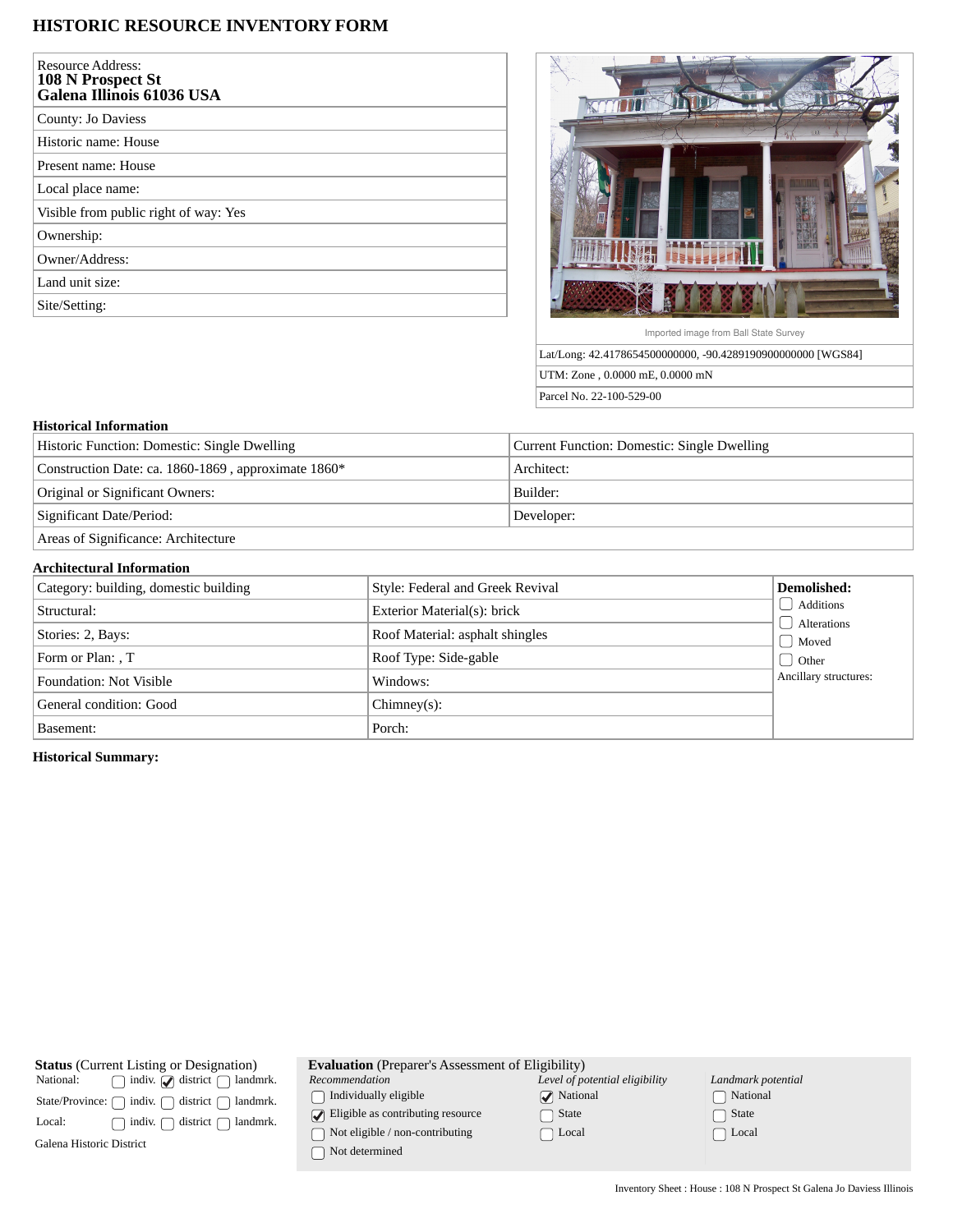## **HISTORIC RESOURCE INVENTORY FORM**

| <b>Resource Address:</b><br>108 N Prospect St<br>Galena Illinois 61036 USA |
|----------------------------------------------------------------------------|
| County: Jo Daviess                                                         |
| Historic name: House                                                       |
| Present name: House                                                        |
| Local place name:                                                          |
| Visible from public right of way: Yes                                      |
| Ownership:                                                                 |
| Owner/Address:                                                             |
| Land unit size:                                                            |
| Site/Setting:                                                              |



UTM: Zone , 0.0000 mE, 0.0000 mN Parcel No. 22-100-529-00

## **Historical Information**

| Historic Function: Domestic: Single Dwelling        | Current Function: Domestic: Single Dwelling |
|-----------------------------------------------------|---------------------------------------------|
| Construction Date: ca. 1860-1869, approximate 1860* | Architect:                                  |
| Original or Significant Owners:                     | Builder:                                    |
| Significant Date/Period:                            | Developer:                                  |
| Areas of Significance: Architecture                 |                                             |

## **Architectural Information**

| Category: building, domestic building | Style: Federal and Greek Revival | Demolished:            |
|---------------------------------------|----------------------------------|------------------------|
| Structural:                           | Exterior Material(s): brick      | Additions              |
| Stories: 2, Bays:                     | Roof Material: asphalt shingles  | Alterations<br>  Moved |
| Form or Plan: , T                     | Roof Type: Side-gable            | d Other                |
| <b>Foundation: Not Visible</b>        | Windows:                         | Ancillary structures:  |
| General condition: Good               | $Chimney(s)$ :                   |                        |
| Basement:                             | Porch:                           |                        |

**Historical Summary:**

| <b>Status</b> (Current Listing or Designation)                       | <b>Evaluation</b> (Preparer's Assessment of Eligibility) |                                |                    |  |
|----------------------------------------------------------------------|----------------------------------------------------------|--------------------------------|--------------------|--|
| indiv. $\sqrt{\phantom{a}}$ district $\int$<br>National:<br>landmrk. | Recommendation                                           | Level of potential eligibility | Landmark potential |  |
| indiv.<br>district<br>State/Province: $\bigcap$<br>landmrk.          | Individually eligible                                    | <b>National</b>                | National           |  |
| landmrk.<br>district<br>indiv.<br>Local:                             | $\triangleright$ Eligible as contributing resource       | State                          | State              |  |
| Galena Historic District                                             | Not eligible / non-contributing<br>Not determined        | Local                          | Local              |  |